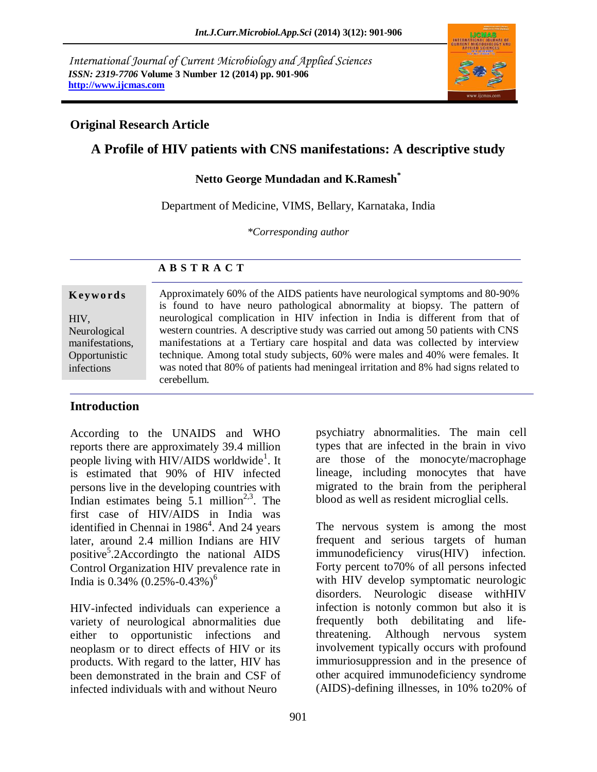*International Journal of Current Microbiology and Applied Sciences ISSN: 2319-7706* **Volume 3 Number 12 (2014) pp. 901-906 [http://www.ijcmas.com](http://www.ijcmas.com/)**



### **Original Research Article**

# **A Profile of HIV patients with CNS manifestations: A descriptive study**

#### **Netto George Mundadan and K.Ramesh\***

Department of Medicine, VIMS, Bellary, Karnataka, India

*\*Corresponding author* 

## **K ey w o rd s** HIV, Neurological manifestations, **Opportunistic** infections

#### **A B S T R A C T**

Approximately 60% of the AIDS patients have neurological symptoms and 80-90% is found to have neuro pathological abnormality at biopsy. The pattern of neurological complication in HIV infection in India is different from that of western countries. A descriptive study was carried out among 50 patients with CNS manifestations at a Tertiary care hospital and data was collected by interview technique. Among total study subjects, 60% were males and 40% were females. It was noted that 80% of patients had meningeal irritation and 8% had signs related to cerebellum.

## **Introduction**

According to the UNAIDS and WHO reports there are approximately 39.4 million people living with HIV/AIDS worldwide<sup>1</sup>. It is estimated that 90% of HIV infected persons live in the developing countries with Indian estimates being  $5.1$  million<sup>2,3</sup>. The first case of HIV/AIDS in India was identified in Chennai in 1986<sup>4</sup>. And 24 years later, around 2.4 million Indians are HIV positive<sup>5</sup>.2Accordingto the national AIDS Control Organization HIV prevalence rate in India is  $0.34\%$   $(0.25\% - 0.43\%)$ <sup>6</sup>

HIV-infected individuals can experience a variety of neurological abnormalities due either to opportunistic infections and neoplasm or to direct effects of HIV or its products. With regard to the latter, HIV has been demonstrated in the brain and CSF of infected individuals with and without Neuro

psychiatry abnormalities. The main cell types that are infected in the brain in vivo are those of the monocyte/macrophage lineage, including monocytes that have migrated to the brain from the peripheral blood as well as resident microglial cells.

The nervous system is among the most frequent and serious targets of human immunodeficiency virus(HIV) infection. Forty percent to70% of all persons infected with HIV develop symptomatic neurologic disorders. Neurologic disease withHIV infection is notonly common but also it is frequently both debilitating and lifethreatening. Although nervous system involvement typically occurs with profound immuriosuppression and in the presence of other acquired immunodeficiency syndrome (AIDS)-defining illnesses, in 10% to20% of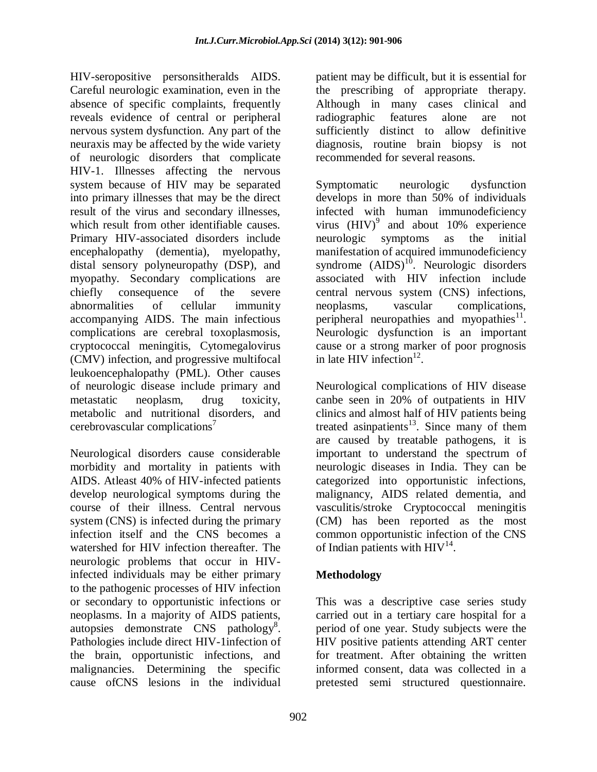HIV-seropositive personsitheralds AIDS. Careful neurologic examination, even in the absence of specific complaints, frequently reveals evidence of central or peripheral nervous system dysfunction. Any part of the neuraxis may be affected by the wide variety of neurologic disorders that complicate HIV-1. Illnesses affecting the nervous system because of HIV may be separated into primary illnesses that may be the direct result of the virus and secondary illnesses, which result from other identifiable causes. Primary HIV-associated disorders include encephalopathy (dementia), myelopathy, distal sensory polyneuropathy (DSP), and myopathy. Secondary complications are chiefly consequence of the severe abnormalities of cellular immunity accompanying AIDS. The main infectious complications are cerebral toxoplasmosis, cryptococcal meningitis, Cytomegalovirus (CMV) infection, and progressive multifocal leukoencephalopathy (PML). Other causes of neurologic disease include primary and metastatic neoplasm, drug toxicity, metabolic and nutritional disorders, and cerebrovascular complications<sup>7</sup>

Neurological disorders cause considerable morbidity and mortality in patients with AIDS. Atleast 40% of HIV-infected patients develop neurological symptoms during the course of their illness. Central nervous system (CNS) is infected during the primary infection itself and the CNS becomes a watershed for HIV infection thereafter. The neurologic problems that occur in HIVinfected individuals may be either primary to the pathogenic processes of HIV infection or secondary to opportunistic infections or neoplasms. In a majority of AIDS patients, autopsies demonstrate CNS pathology<sup>8</sup>. Pathologies include direct HIV-1infection of the brain, opportunistic infections, and malignancies. Determining the specific cause ofCNS lesions in the individual

patient may be difficult, but it is essential for the prescribing of appropriate therapy. Although in many cases clinical and radiographic features alone are not sufficiently distinct to allow definitive diagnosis, routine brain biopsy is not recommended for several reasons.

Symptomatic neurologic dysfunction develops in more than 50% of individuals infected with human immunodeficiency virus  $(HIV)^9$  and about 10% experience neurologic symptoms as the initial manifestation of acquired immunodeficiency syndrome  $(AIDS)^{10}$ . Neurologic disorders associated with HIV infection include central nervous system (CNS) infections, neoplasms, vascular complications, peripheral neuropathies and myopathies $11$ . Neurologic dysfunction is an important cause or a strong marker of poor prognosis in late HIV infection $^{12}$ .

Neurological complications of HIV disease canbe seen in 20% of outpatients in HIV clinics and almost half of HIV patients being treated asinpatients<sup>13</sup>. Since many of them are caused by treatable pathogens, it is important to understand the spectrum of neurologic diseases in India. They can be categorized into opportunistic infections, malignancy, AIDS related dementia, and vasculitis/stroke Cryptococcal meningitis (CM) has been reported as the most common opportunistic infection of the CNS of Indian patients with  $HIV^{14}$ .

# **Methodology**

This was a descriptive case series study carried out in a tertiary care hospital for a period of one year. Study subjects were the HIV positive patients attending ART center for treatment. After obtaining the written informed consent, data was collected in a pretested semi structured questionnaire.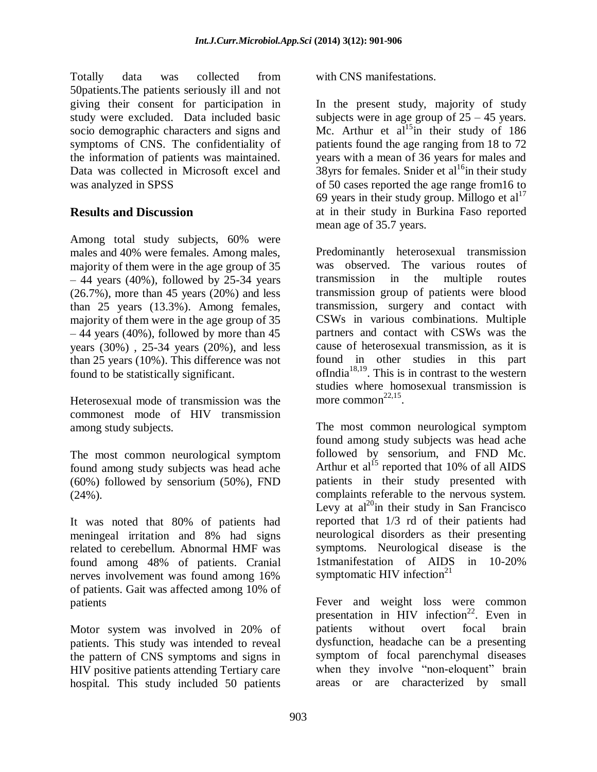Totally data was collected from 50patients.The patients seriously ill and not giving their consent for participation in study were excluded. Data included basic socio demographic characters and signs and symptoms of CNS. The confidentiality of the information of patients was maintained. Data was collected in Microsoft excel and was analyzed in SPSS

## **Results and Discussion**

Among total study subjects, 60% were males and 40% were females. Among males, majority of them were in the age group of 35  $-44$  years (40%), followed by 25-34 years  $(26.7\%)$ , more than 45 years  $(20\%)$  and less than 25 years (13.3%). Among females, majority of them were in the age group of 35  $-44$  years (40%), followed by more than 45 years (30%) , 25-34 years (20%), and less than 25 years (10%). This difference was not found to be statistically significant.

Heterosexual mode of transmission was the commonest mode of HIV transmission among study subjects.

The most common neurological symptom found among study subjects was head ache (60%) followed by sensorium (50%), FND  $(24\%)$ .

It was noted that 80% of patients had meningeal irritation and 8% had signs related to cerebellum. Abnormal HMF was found among 48% of patients. Cranial nerves involvement was found among 16% of patients. Gait was affected among 10% of patients

Motor system was involved in 20% of patients. This study was intended to reveal the pattern of CNS symptoms and signs in HIV positive patients attending Tertiary care hospital. This study included 50 patients

with CNS manifestations.

In the present study, majority of study subjects were in age group of  $25 - 45$  years. Mc. Arthur et al<sup>15</sup>in their study of 186 patients found the age ranging from 18 to 72 years with a mean of 36 years for males and 38yrs for females. Snider et al<sup>16</sup>in their study of 50 cases reported the age range from16 to 69 years in their study group. Millogo et  $al<sup>17</sup>$ at in their study in Burkina Faso reported mean age of 35.7 years.

Predominantly heterosexual transmission was observed. The various routes of transmission in the multiple routes transmission group of patients were blood transmission, surgery and contact with CSWs in various combinations. Multiple partners and contact with CSWs was the cause of heterosexual transmission, as it is found in other studies in this part ofIndia<sup>18,19</sup>. This is in contrast to the western studies where homosexual transmission is more common<sup>22,15</sup>.

The most common neurological symptom found among study subjects was head ache followed by sensorium, and FND Mc. Arthur et al<sup>15</sup> reported that 10% of all AIDS patients in their study presented with complaints referable to the nervous system. Levy at  $al^{20}$ in their study in San Francisco reported that 1/3 rd of their patients had neurological disorders as their presenting symptoms. Neurological disease is the 1stmanifestation of AIDS in 10-20% symptomatic HIV infection $21$ 

Fever and weight loss were common presentation in HIV infection<sup>22</sup>. Even in patients without overt focal brain dysfunction, headache can be a presenting symptom of focal parenchymal diseases when they involve "non-eloquent" brain areas or are characterized by small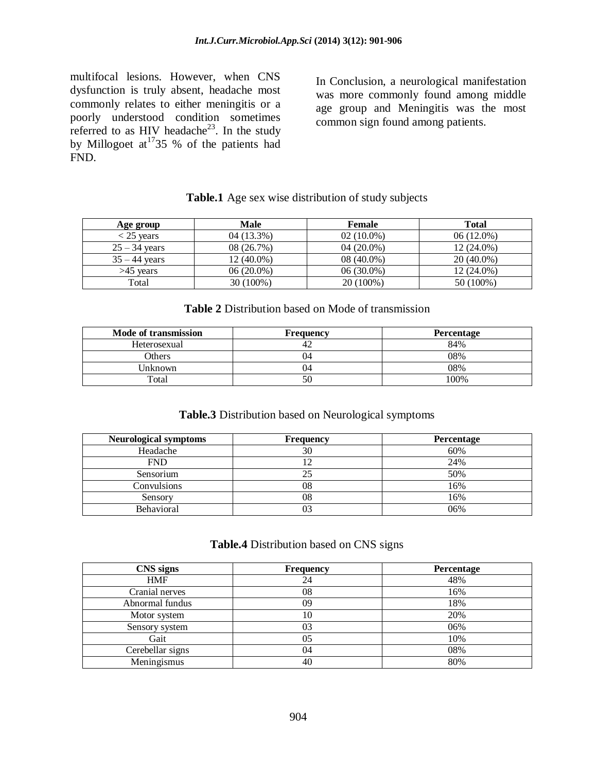multifocal lesions. However, when CNS dysfunction is truly absent, headache most commonly relates to either meningitis or a poorly understood condition sometimes referred to as HIV headache<sup>23</sup>. In the study by Millogoet at<sup>17</sup>35 % of the patients had FND.

In Conclusion, a neurological manifestation was more commonly found among middle age group and Meningitis was the most common sign found among patients.

### **Table.1** Age sex wise distribution of study subjects

| Age group       | Male       | Female       | <b>Total</b> |
|-----------------|------------|--------------|--------------|
| $<$ 25 vears    | 04 (13.3%) | $02(10.0\%)$ | $06(12.0\%)$ |
| $25 - 34$ years | 08 (26.7%) | $04(20.0\%)$ | $12(24.0\%)$ |
| $35 - 44$ vears | 12 (40.0%) | 08 (40.0%)   | $20(40.0\%)$ |
| $>45$ vears     | 06 (20.0%) | 06 (30.0%)   | $12(24.0\%)$ |
| Total           | 30 (100%)  | 20 (100%)    | 50 (100%)    |

#### **Table 2** Distribution based on Mode of transmission

| Mode of transmission | <b>Frequency</b> | Percentage |
|----------------------|------------------|------------|
| Heterosexual         |                  | 84%        |
| Others               | 74               | 08%        |
| Unknown              | 14               | 08%        |
| Total                | 50               | 100%       |

#### **Table.3** Distribution based on Neurological symptoms

| <b>Neurological symptoms</b> | <b>Frequency</b> | Percentage |
|------------------------------|------------------|------------|
| Headache                     | 30               | 60%        |
| <b>FND</b>                   |                  | 24%        |
| Sensorium                    |                  | 50%        |
| Convulsions                  | 08               | 16%        |
| Sensory                      | 08               | 16%        |
| Behavioral                   |                  | 06%        |

#### **Table.4** Distribution based on CNS signs

| <b>CNS</b> signs | <b>Frequency</b> | Percentage |
|------------------|------------------|------------|
| <b>HMF</b>       | 24               | 48%        |
| Cranial nerves   | 08               | 16%        |
| Abnormal fundus  | 09               | 18%        |
| Motor system     | 10               | 20%        |
| Sensory system   | 03               | 06%        |
| Gait             | 05               | 10%        |
| Cerebellar signs | 04               | 08%        |
| Meningismus      | 40               | 80%        |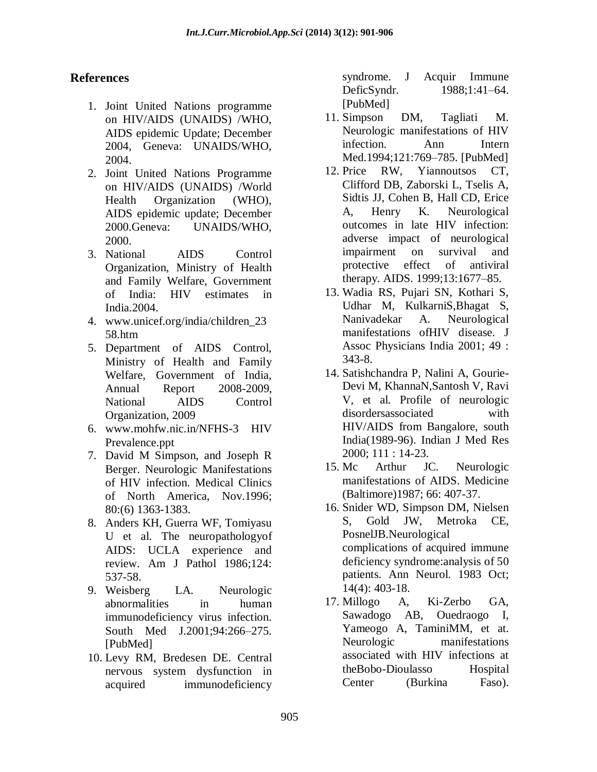## **References**

- 1. Joint United Nations programme on HIV/AIDS (UNAIDS) /WHO, AIDS epidemic Update; December 2004, Geneva: UNAIDS/WHO, 2004.
- 2. Joint United Nations Programme on HIV/AIDS (UNAIDS) /World Health Organization (WHO), AIDS epidemic update; December 2000.Geneva: UNAIDS/WHO, 2000.
- 3. National AIDS Control Organization, Ministry of Health and Family Welfare, Government of India: HIV estimates in India.2004.
- 4. www.unicef.org/india/children\_23 58.htm
- 5. Department of AIDS Control, Ministry of Health and Family Welfare, Government of India, Annual Report 2008-2009, National AIDS Control Organization, 2009
- 6. [www.mohfw.nic.in/NFHS-3 HIV](http://www.mohfw.nic.in/NFHS-3%20HIV%20Prevalence.ppt)  [Prevalence.ppt](http://www.mohfw.nic.in/NFHS-3%20HIV%20Prevalence.ppt)
- 7. David M Simpson, and Joseph R Berger. Neurologic Manifestations of HIV infection. Medical Clinics of North America, Nov.1996; 80:(6) 1363-1383.
- 8. Anders KH, Guerra WF, Tomiyasu U et al. The neuropathologyof AIDS: UCLA experience and review. Am J Pathol 1986;124: 537-58.
- 9. Weisberg LA. Neurologic abnormalities in human immunodeficiency virus infection. South Med J.2001;94:266–275. [PubMed]
- 10. Levy RM, Bredesen DE. Central nervous system dysfunction in acquired immunodeficiency

syndrome. J Acquir Immune DeficSyndr. 1988;1:41–64. [PubMed]

- 11. Simpson DM, Tagliati M. Neurologic manifestations of HIV infection. Ann Intern Med.1994;121:769–785. [PubMed]
- 12. Price RW, Yiannoutsos CT, Clifford DB, Zaborski L, Tselis A, Sidtis JJ, Cohen B, Hall CD, Erice A, Henry K. Neurological outcomes in late HIV infection: adverse impact of neurological impairment on survival and protective effect of antiviral therapy. AIDS. 1999;13:1677–85.
- 13. Wadia RS, Pujari SN, Kothari S, Udhar M, KulkarniS,Bhagat S, Nanivadekar A. Neurological manifestations ofHIV disease. J Assoc Physicians India 2001; 49 : 343-8.
- 14. Satishchandra P, Nalini A, Gourie-Devi M, KhannaN,Santosh V, Ravi V, et al. Profile of neurologic disordersassociated with HIV/AIDS from Bangalore, south India(1989-96). Indian J Med Res 2000; 111 : 14-23.
- 15. Mc Arthur JC. Neurologic manifestations of AIDS. Medicine (Baltimore)1987; 66: 407-37.
- 16. Snider WD, Simpson DM, Nielsen S, Gold JW, Metroka CE, PosnelJB.Neurological complications of acquired immune deficiency syndrome:analysis of 50 patients. Ann Neurol. 1983 Oct; 14(4): 403-18.
- 17. Millogo A, Ki-Zerbo GA, Sawadogo AB, Ouedraogo I, Yameogo A, TaminiMM, et at. Neurologic manifestations associated with HIV infections at theBobo-Dioulasso Hospital Center (Burkina Faso).